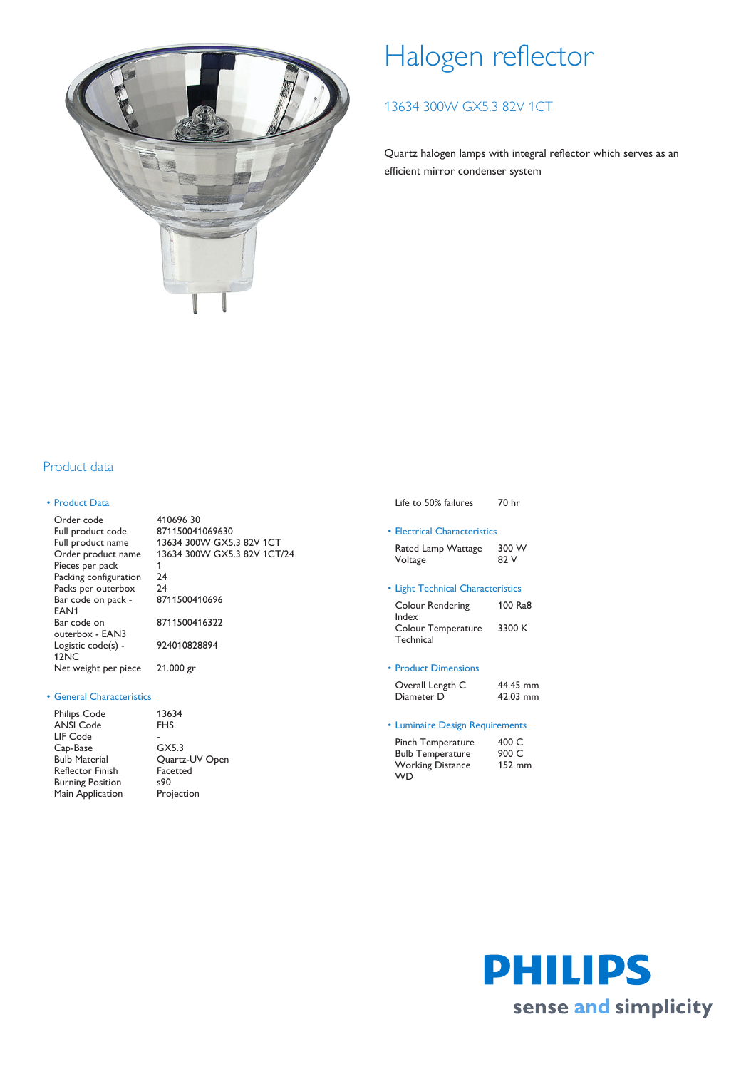

# Halogen reflector

# 13634 300W GX5.3 82V 1CT

Quartz halogen lamps with integral reflector which serves as an efficient mirror condenser system

# Product data

## • Product Data

| 41069630                    |
|-----------------------------|
| 871150041069630             |
| 13634 300W GX5.3 82V 1CT    |
| 13634 300W GX5.3 82V 1CT/24 |
|                             |
| 24                          |
| 24                          |
| 8711500410696               |
|                             |
| 8711500416322               |
|                             |
| 924010828894                |
|                             |
| $21.000$ gr                 |
|                             |

#### • General Characteristics

| <b>Philips Code</b>     | 13634          |
|-------------------------|----------------|
| <b>ANSI Code</b>        | <b>FHS</b>     |
| LIF Code                |                |
| Cap-Base                | GX5.3          |
| <b>Bulb Material</b>    | Quartz-UV Open |
| <b>Reflector Finish</b> | Facetted       |
| <b>Burning Position</b> | s90            |
| Main Application        | Projection     |
|                         |                |

|  |  | Life to 50% failures | 70 hr |  |
|--|--|----------------------|-------|--|
|--|--|----------------------|-------|--|

• Electrical Characteristics Rated Lamp Wattage 300 W

| <b>Nated Latily VVallage</b> | <b>JUU VV</b> |
|------------------------------|---------------|
| Voltage                      | 82 V          |
|                              |               |

## • Light Technical Characteristics

| <b>Colour Rendering</b> | 100 Ra8 |
|-------------------------|---------|
| Index                   |         |
| Colour Temperature      | 3300 K  |
| Technical               |         |

## • Product Dimensions

| Overall Length C | 44.45 mm |
|------------------|----------|
| Diameter D       | 42.03 mm |

### • Luminaire Design Requirements

| Pinch Temperature       | 400 C  |
|-------------------------|--------|
| <b>Bulb Temperature</b> | 900 C  |
| <b>Working Distance</b> | 152 mm |
| <b>WD</b>               |        |